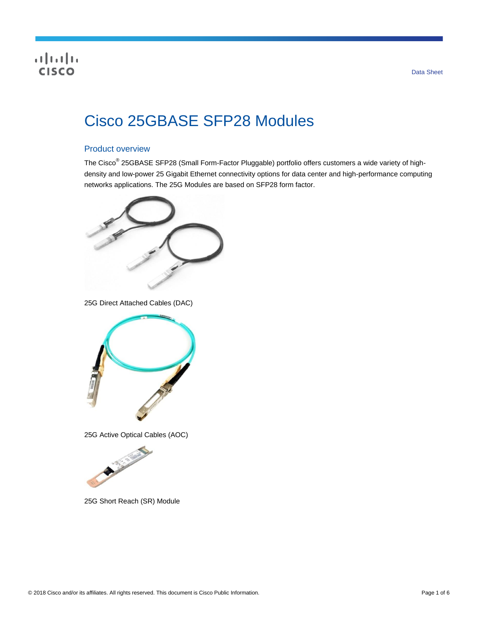# $\frac{1}{\sqrt{2}}$

# Cisco 25GBASE SFP28 Modules

# Product overview

The Cisco<sup>®</sup> 25GBASE SFP28 (Small Form-Factor Pluggable) portfolio offers customers a wide variety of highdensity and low-power 25 Gigabit Ethernet connectivity options for data center and high-performance computing networks applications. The 25G Modules are based on SFP28 form factor.



25G Direct Attached Cables (DAC)



25G Active Optical Cables (AOC)



25G Short Reach (SR) Module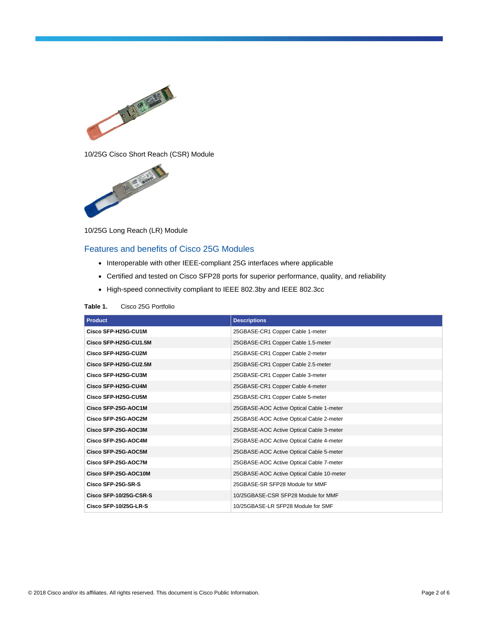



10/25G Long Reach (LR) Module

# Features and benefits of Cisco 25G Modules

- Interoperable with other IEEE-compliant 25G interfaces where applicable
- Certified and tested on Cisco SFP28 ports for superior performance, quality, and reliability
- High-speed connectivity compliant to IEEE 802.3by and IEEE 802.3cc

| <b>Product</b>         | <b>Descriptions</b>                       |
|------------------------|-------------------------------------------|
| Cisco SFP-H25G-CU1M    | 25GBASE-CR1 Copper Cable 1-meter          |
| Cisco SFP-H25G-CU1.5M  | 25GBASE-CR1 Copper Cable 1.5-meter        |
| Cisco SFP-H25G-CU2M    | 25GBASE-CR1 Copper Cable 2-meter          |
| Cisco SFP-H25G-CU2.5M  | 25GBASE-CR1 Copper Cable 2.5-meter        |
| Cisco SFP-H25G-CU3M    | 25GBASE-CR1 Copper Cable 3-meter          |
| Cisco SFP-H25G-CU4M    | 25GBASE-CR1 Copper Cable 4-meter          |
| Cisco SFP-H25G-CU5M    | 25GBASE-CR1 Copper Cable 5-meter          |
| Cisco SFP-25G-AOC1M    | 25GBASE-AOC Active Optical Cable 1-meter  |
| Cisco SFP-25G-AOC2M    | 25GBASE-AOC Active Optical Cable 2-meter  |
| Cisco SFP-25G-AOC3M    | 25GBASE-AOC Active Optical Cable 3-meter  |
| Cisco SFP-25G-AOC4M    | 25GBASE-AOC Active Optical Cable 4-meter  |
| Cisco SFP-25G-AOC5M    | 25GBASE-AOC Active Optical Cable 5-meter  |
| Cisco SFP-25G-AOC7M    | 25GBASE-AOC Active Optical Cable 7-meter  |
| Cisco SFP-25G-AOC10M   | 25GBASE-AOC Active Optical Cable 10-meter |
| Cisco SFP-25G-SR-S     | 25GBASE-SR SFP28 Module for MMF           |
| Cisco SFP-10/25G-CSR-S | 10/25GBASE-CSR SFP28 Module for MMF       |
| Cisco SFP-10/25G-LR-S  | 10/25GBASE-LR SFP28 Module for SMF        |

#### **Table 1.** Cisco 25G Portfolio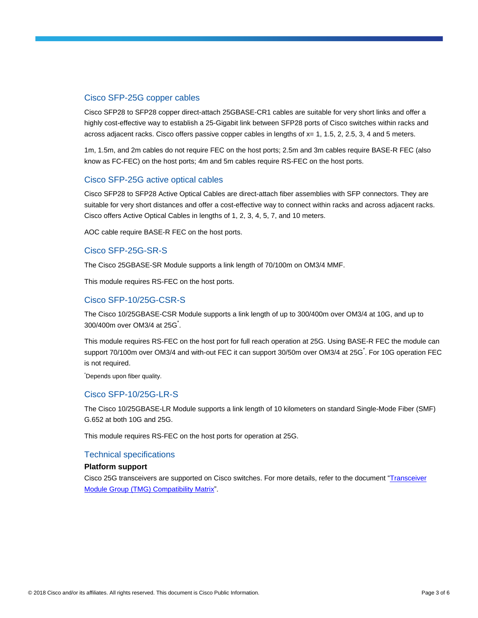# Cisco SFP-25G copper cables

Cisco SFP28 to SFP28 copper direct-attach 25GBASE-CR1 cables are suitable for very short links and offer a highly cost-effective way to establish a 25-Gigabit link between SFP28 ports of Cisco switches within racks and across adjacent racks. Cisco offers passive copper cables in lengths of  $x= 1, 1.5, 2, 2.5, 3, 4$  and 5 meters.

1m, 1.5m, and 2m cables do not require FEC on the host ports; 2.5m and 3m cables require BASE-R FEC (also know as FC-FEC) on the host ports; 4m and 5m cables require RS-FEC on the host ports.

# Cisco SFP-25G active optical cables

Cisco SFP28 to SFP28 Active Optical Cables are direct-attach fiber assemblies with SFP connectors. They are suitable for very short distances and offer a cost-effective way to connect within racks and across adjacent racks. Cisco offers Active Optical Cables in lengths of 1, 2, 3, 4, 5, 7, and 10 meters.

AOC cable require BASE-R FEC on the host ports.

# Cisco SFP-25G-SR-S

The Cisco 25GBASE-SR Module supports a link length of 70/100m on OM3/4 MMF.

This module requires RS-FEC on the host ports.

# Cisco SFP-10/25G-CSR-S

The Cisco 10/25GBASE-CSR Module supports a link length of up to 300/400m over OM3/4 at 10G, and up to 300/400m over OM3/4 at 25G<sup>\*</sup>.

This module requires RS-FEC on the host port for full reach operation at 25G. Using BASE-R FEC the module can support 70/100m over OM3/4 and with-out FEC it can support 30/50m over OM3/4 at 25G<sup>\*</sup>. For 10G operation FEC is not required.

\*Depends upon fiber quality.

# Cisco SFP-10/25G-LR-S

The Cisco 10/25GBASE-LR Module supports a link length of 10 kilometers on standard Single-Mode Fiber (SMF) G.652 at both 10G and 25G.

This module requires RS-FEC on the host ports for operation at 25G.

# Technical specifications

#### **Platform support**

Cisco 25G transceivers are supported on Cisco switches. For more details, refer to the document ["Transceiver](https://tmgmatrix.cisco.com/home)  [Module Group \(TMG\) Compatibility Matrix"](https://tmgmatrix.cisco.com/home).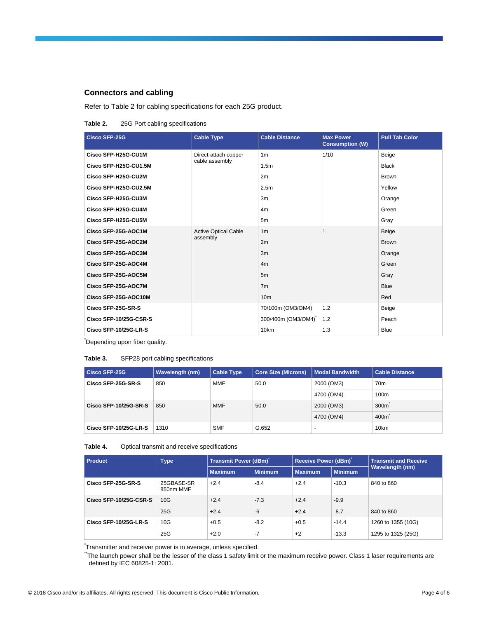#### **Connectors and cabling**

Refer to Table 2 for cabling specifications for each 25G product.

#### **Table 2.** 25G Port cabling specifications

| <b>Cisco SFP-25G</b>   | <b>Cable Type</b>                       | <b>Cable Distance</b> | <b>Max Power</b><br><b>Consumption (W)</b> | <b>Pull Tab Color</b> |
|------------------------|-----------------------------------------|-----------------------|--------------------------------------------|-----------------------|
| Cisco SFP-H25G-CU1M    | Direct-attach copper                    | 1 <sub>m</sub>        | 1/10                                       | Beige                 |
| Cisco SFP-H25G-CU1.5M  | cable assembly                          | 1.5 <sub>m</sub>      |                                            | <b>Black</b>          |
| Cisco SFP-H25G-CU2M    |                                         | 2m                    |                                            | <b>Brown</b>          |
| Cisco SFP-H25G-CU2.5M  |                                         | 2.5 <sub>m</sub>      |                                            | Yellow                |
| Cisco SFP-H25G-CU3M    |                                         | 3m                    |                                            | Orange                |
| Cisco SFP-H25G-CU4M    |                                         | 4 <sub>m</sub>        |                                            | Green                 |
| Cisco SFP-H25G-CU5M    |                                         | 5m                    |                                            | Gray                  |
| Cisco SFP-25G-AOC1M    | <b>Active Optical Cable</b><br>assembly | 1 <sub>m</sub>        | 1                                          | Beige                 |
| Cisco SFP-25G-AOC2M    |                                         | 2m                    |                                            | <b>Brown</b>          |
| Cisco SFP-25G-AOC3M    |                                         | 3m                    |                                            | Orange                |
| Cisco SFP-25G-AOC4M    |                                         | 4m                    |                                            | Green                 |
| Cisco SFP-25G-AOC5M    |                                         | 5m                    |                                            | Gray                  |
| Cisco SFP-25G-AOC7M    |                                         | 7 <sub>m</sub>        |                                            | <b>Blue</b>           |
| Cisco SFP-25G-AOC10M   |                                         | 10 <sub>m</sub>       |                                            | Red                   |
| Cisco SFP-25G-SR-S     |                                         | 70/100m (OM3/OM4)     | 1.2                                        | Beige                 |
| Cisco SFP-10/25G-CSR-S |                                         | 300/400m (OM3/OM4)    | 1.2                                        | Peach                 |
| Cisco SFP-10/25G-LR-S  |                                         | 10 <sub>km</sub>      | 1.3                                        | <b>Blue</b>           |

\*Depending upon fiber quality.

#### **Table 3.** SFP28 port cabling specifications

| Cisco SFP-25G         | Wavelength (nm) | <b>Cable Type</b> | <b>Core Size (Microns)</b> | <b>Modal Bandwidth</b> | <b>Cable Distance</b> |
|-----------------------|-----------------|-------------------|----------------------------|------------------------|-----------------------|
| Cisco SFP-25G-SR-S    | 850             | <b>MMF</b>        | 50.0                       | 2000 (OM3)             | 70 <sub>m</sub>       |
|                       |                 |                   | 4700 (OM4)                 | 100m                   |                       |
| Cisco SFP-10/25G-SR-S | 850             | <b>MMF</b>        | 50.0                       | 2000 (OM3)             | 300 <sub>m</sub>      |
|                       |                 |                   |                            | 4700 (OM4)             | 400m                  |
| Cisco SFP-10/25G-LR-S | 1310            | <b>SMF</b>        | G.652                      | $\overline{a}$         | 10km                  |

**Table 4.** Optical transmit and receive specifications

| <b>Product</b>         | <b>Type</b>             | <b>Transmit Power (dBm)</b> |                | <b>Receive Power (dBm)</b> |                | <b>Transmit and Receive</b> |
|------------------------|-------------------------|-----------------------------|----------------|----------------------------|----------------|-----------------------------|
|                        |                         | <b>Maximum</b>              | <b>Minimum</b> | <b>Maximum</b>             | <b>Minimum</b> | <b>Wavelength (nm)</b>      |
| Cisco SFP-25G-SR-S     | 25GBASE-SR<br>850nm MMF | $+2.4$                      | $-8.4$         | $+2.4$                     | $-10.3$        | 840 to 860                  |
| Cisco SFP-10/25G-CSR-S | 10G                     | $+2.4$                      | $-7.3$         | $+2.4$                     | $-9.9$         |                             |
|                        | 25G                     | $+2.4$                      | $-6$           | $+2.4$                     | $-8.7$         | 840 to 860                  |
| Cisco SFP-10/25G-LR-S  | 10G                     | $+0.5$                      | $-8.2$         | $+0.5$                     | $-14.4$        | 1260 to 1355 (10G)          |
|                        | 25G                     | $+2.0$                      | -7             | $+2$                       | $-13.3$        | 1295 to 1325 (25G)          |

\* Transmitter and receiver power is in average, unless specified.

The launch power shall be the lesser of the class 1 safety limit or the maximum receive power. Class 1 laser requirements are defined by IEC 60825-1: 2001.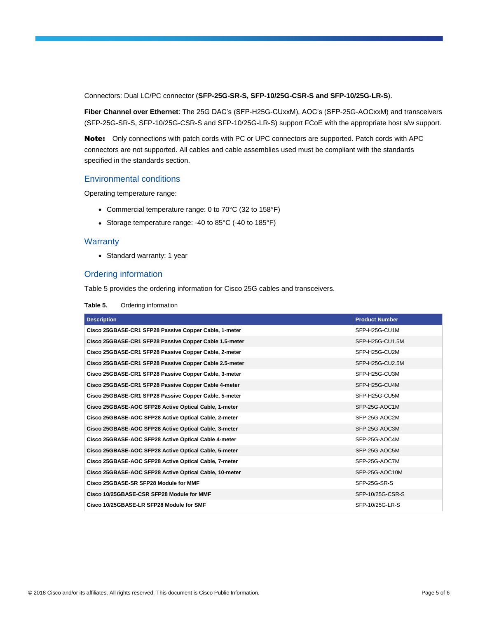Connectors: Dual LC/PC connector (**SFP-25G-SR-S, SFP-10/25G-CSR-S and SFP-10/25G-LR-S**).

**Fiber Channel over Ethernet**: The 25G DAC's (SFP-H25G-CUxxM), AOC's (SFP-25G-AOCxxM) and transceivers (SFP-25G-SR-S, SFP-10/25G-CSR-S and SFP-10/25G-LR-S) support FCoE with the appropriate host s/w support.

Note: Only connections with patch cords with PC or UPC connectors are supported. Patch cords with APC connectors are not supported. All cables and cable assemblies used must be compliant with the standards specified in the standards section.

#### Environmental conditions

Operating temperature range:

- Commercial temperature range: 0 to 70°C (32 to 158°F)
- Storage temperature range: -40 to 85°C (-40 to 185°F)

#### **Warranty**

• Standard warranty: 1 year

# Ordering information

Table 5 provides the ordering information for Cisco 25G cables and transceivers.

| Table 5. |  | Ordering information |
|----------|--|----------------------|
|----------|--|----------------------|

| <b>Description</b>                                     | <b>Product Number</b> |
|--------------------------------------------------------|-----------------------|
| Cisco 25GBASE-CR1 SFP28 Passive Copper Cable, 1-meter  | SFP-H25G-CU1M         |
| Cisco 25GBASE-CR1 SFP28 Passive Copper Cable 1.5-meter | SFP-H25G-CU1.5M       |
| Cisco 25GBASE-CR1 SFP28 Passive Copper Cable, 2-meter  | SFP-H25G-CU2M         |
| Cisco 25GBASE-CR1 SFP28 Passive Copper Cable 2.5-meter | SFP-H25G-CU2.5M       |
| Cisco 25GBASE-CR1 SFP28 Passive Copper Cable, 3-meter  | SFP-H25G-CU3M         |
| Cisco 25GBASE-CR1 SFP28 Passive Copper Cable 4-meter   | SFP-H25G-CU4M         |
| Cisco 25GBASE-CR1 SFP28 Passive Copper Cable, 5-meter  | SFP-H25G-CU5M         |
| Cisco 25GBASE-AOC SFP28 Active Optical Cable, 1-meter  | SFP-25G-AOC1M         |
| Cisco 25GBASE-AOC SFP28 Active Optical Cable, 2-meter  | SFP-25G-AOC2M         |
| Cisco 25GBASE-AOC SFP28 Active Optical Cable, 3-meter  | SFP-25G-AOC3M         |
| Cisco 25GBASE-AOC SFP28 Active Optical Cable 4-meter   | SFP-25G-AOC4M         |
| Cisco 25GBASE-AOC SFP28 Active Optical Cable, 5-meter  | SFP-25G-AOC5M         |
| Cisco 25GBASE-AOC SFP28 Active Optical Cable, 7-meter  | SFP-25G-AOC7M         |
| Cisco 25GBASE-AOC SFP28 Active Optical Cable, 10-meter | SFP-25G-AOC10M        |
| Cisco 25GBASE-SR SFP28 Module for MMF                  | SFP-25G-SR-S          |
| Cisco 10/25GBASE-CSR SFP28 Module for MMF              | SFP-10/25G-CSR-S      |
| Cisco 10/25GBASE-LR SFP28 Module for SMF               | SFP-10/25G-LR-S       |